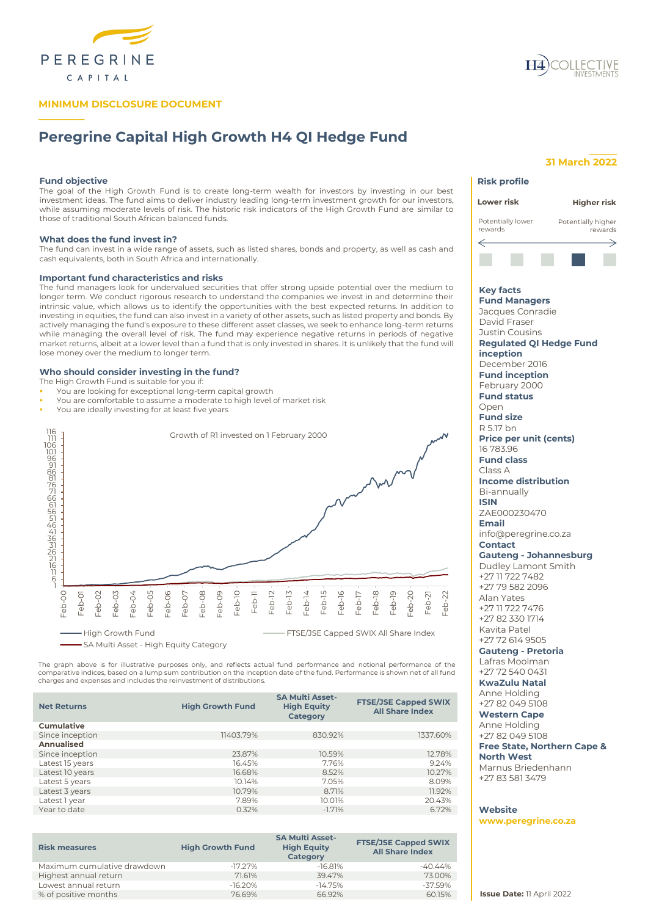

## **MINIMUM DISCLOSURE DOCUMENT**



# **Peregrine Capital High Growth H4 QI Hedge Fund**

## **Fund objective**

**\_\_\_\_\_\_\_\_\_\_**

The goal of the High Growth Fund is to create long-term wealth for investors by investing in our best investment ideas. The fund aims to deliver industry leading long-term investment growth for our investors, while assuming moderate levels of risk. The historic risk indicators of the High Growth Fund are similar to those of traditional South African balanced funds.

#### **What does the fund invest in?**

The fund can invest in a wide range of assets, such as listed shares, bonds and property, as well as cash and cash equivalents, both in South Africa and internationally.

## **Important fund characteristics and risks**

The fund managers look for undervalued securities that offer strong upside potential over the medium to longer term. We conduct rigorous research to understand the companies we invest in and determine their intrinsic value, which allows us to identify the opportunities with the best expected returns. In addition to investing in equities, the fund can also invest in a variety of other assets, such as listed property and bonds. By actively managing the fund's exposure to these different asset classes, we seek to enhance long-term returns while managing the overall level of risk. The fund may experience negative returns in periods of negative market returns, albeit at a lower level than a fund that is only invested in shares. It is unlikely that the fund will lose money over the medium to longer term.

## **Who should consider investing in the fund?**

The High Growth Fund is suitable for you if:

- You are looking for exceptional long-term capital growth
- You are comfortable to assume a moderate to high level of market risk
- You are ideally investing for at least five years



The graph above is for illustrative purposes only, and reflects actual fund performance and notional performance of the<br>comparative indices, based on a lump sum contribution on the inception date of the fund. Performance i charges and expenses and includes the reinvestment of distributions.

| <b>Net Returns</b> | <b>High Growth Fund</b> | <b>SA Multi Asset-</b><br><b>High Equity</b><br><b>Category</b> | <b>FTSE/JSE Capped SWIX</b><br><b>All Share Index</b> |
|--------------------|-------------------------|-----------------------------------------------------------------|-------------------------------------------------------|
| <b>Cumulative</b>  |                         |                                                                 |                                                       |
| Since inception    | 11403.79%               | 830.92%                                                         | 1337.60%                                              |
| Annualised         |                         |                                                                 |                                                       |
| Since inception    | 23.87%                  | 10.59%                                                          | 12.78%                                                |
| Latest 15 years    | 16.45%                  | 7.76%                                                           | 9.24%                                                 |
| Latest 10 years    | 16.68%                  | 8.52%                                                           | 10.27%                                                |
| Latest 5 years     | 10.14%                  | 7.05%                                                           | 8.09%                                                 |
| Latest 3 years     | 10.79%                  | 8.71%                                                           | 11.92%                                                |
| Latest 1 year      | 7.89%                   | 10.01%                                                          | 20.43%                                                |
| Year to date       | 0.32%                   | $-1.71%$                                                        | 6.72%                                                 |

| <b>Risk measures</b>        | <b>High Growth Fund</b> | <b>SA Multi Asset-</b><br><b>High Equity</b><br>Category | <b>FTSE/JSE Capped SWIX</b><br><b>All Share Index</b> |
|-----------------------------|-------------------------|----------------------------------------------------------|-------------------------------------------------------|
| Maximum cumulative drawdown | $-17.27\%$              | $-16.81%$                                                | $-40.44%$                                             |
| Highest annual return       | 71.61%                  | 39.47%                                                   | 73.00%                                                |
| Lowest annual return        | $-16.20%$               | $-14.75%$                                                | $-37.59%$                                             |
| % of positive months        | 76.69%                  | 66.92%                                                   | 60.15%                                                |

## **\_\_\_\_\_\_ 31 March 2022**

## **Risk profile Lower risk Higher risk**



**Key facts Fund Managers** Jacques Conradie David Fraser

Justin Cousins **Regulated QI Hedge Fund inception** December 2016 **Fund inception** February 2000 **Fund status** Open **Fund size** R 5.17 bn **Price per unit (cents)** 16 783.96 **Fund class** Class A **Income distribution** Bi-annually **ISIN** ZAE000230470 **Email** info@peregrine.co.za **Contact Gauteng - Johannesburg** Dudley Lamont Smith +27 11 722 7482 +27 79 582 2096 Alan Yates +27 11 722 7476 +27 82 330 1714 Kavita Patel +27 72 614 9505 **Gauteng - Pretoria**

## Lafras Moolman

+27 72 540 0431 **KwaZulu Natal**

### Anne Holding +27 82 049 5108

**Western Cape** Anne Holding +27 82 049 5108 **Free State, Northern Cape & North West**

Marnus Briedenhann +27 83 581 3479

## **Website**

**www.peregrine.co.za**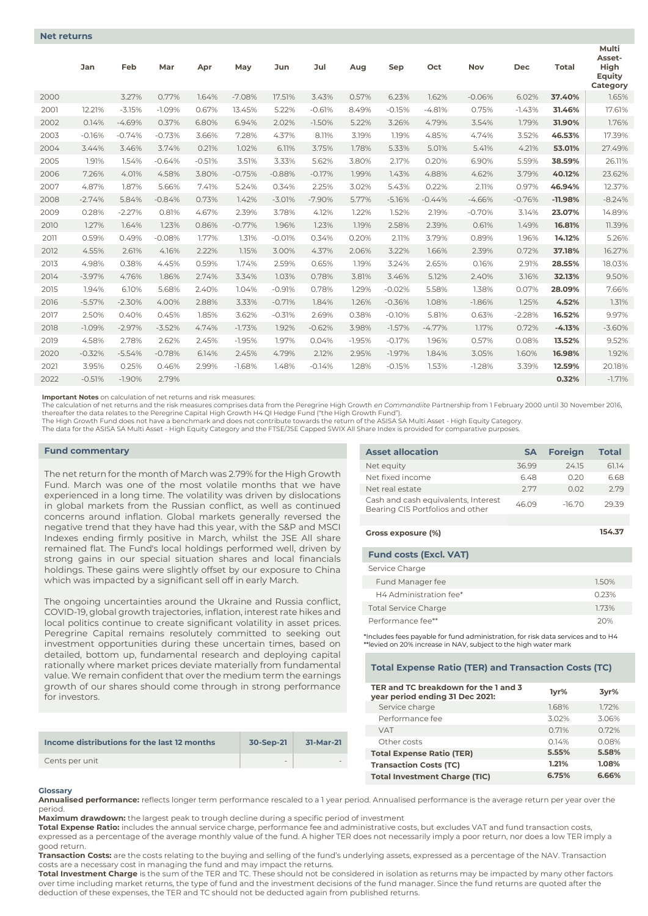|      | Jan      | Feb      | Mar      | Apr      | May      | Jun      | Jul      | Aug      | Sep      | Oct      | <b>Nov</b> | <b>Dec</b> | <b>Total</b> | Multi<br>Asset-<br>High<br>Equity<br>Category |
|------|----------|----------|----------|----------|----------|----------|----------|----------|----------|----------|------------|------------|--------------|-----------------------------------------------|
| 2000 |          | 3.27%    | 0.77%    | 1.64%    | $-7.08%$ | 17.51%   | 3.43%    | 0.57%    | 6.23%    | 1.62%    | $-0.06%$   | 6.02%      | 37.40%       | 1.65%                                         |
| 2001 | 12.21%   | $-3.15%$ | $-1.09%$ | 0.67%    | 13.45%   | 5.22%    | $-0.67%$ | 8.49%    | $-0.15%$ | $-4.81%$ | 0.75%      | $-1.43%$   | 31.46%       | 17.61%                                        |
| 2002 | 0.14%    | $-4.69%$ | 0.37%    | 6.80%    | 6.94%    | 2.02%    | $-1.50%$ | 5.22%    | 3.26%    | 4.79%    | 3.54%      | 1.79%      | 31.90%       | 1.76%                                         |
| 2003 | $-0.16%$ | $-0.74%$ | $-0.73%$ | 3.66%    | 7.28%    | 4.37%    | 8.11%    | 3.19%    | 1.19%    | 4.85%    | 4.74%      | 3.52%      | 46.53%       | 17.39%                                        |
| 2004 | 3.44%    | 3.46%    | 3.74%    | 0.21%    | 1.02%    | 6.11%    | 3.75%    | 1.78%    | 5.33%    | 5.01%    | 5.41%      | 4.21%      | 53.01%       | 27.49%                                        |
| 2005 | 1.91%    | 1.54%    | $-0.64%$ | $-0.51%$ | 3.51%    | 3.33%    | 5.62%    | 3.80%    | 2.17%    | 0.20%    | 6.90%      | 5.59%      | 38.59%       | 26.11%                                        |
| 2006 | 7.26%    | 4.01%    | 4.58%    | 3.80%    | $-0.75%$ | $-0.88%$ | $-0.17%$ | 1.99%    | 1.43%    | 4.88%    | 4.62%      | 3.79%      | 40.12%       | 23.62%                                        |
| 2007 | 4.87%    | 1.87%    | 5.66%    | 7.41%    | 5.24%    | 0.34%    | 2.25%    | 3.02%    | 5.43%    | 0.22%    | 2.11%      | 0.97%      | 46.94%       | 12.37%                                        |
| 2008 | $-2.74%$ | 5.84%    | $-0.84%$ | 0.73%    | 1.42%    | $-3.01%$ | $-7.90%$ | 5.77%    | $-5.16%$ | $-0.44%$ | $-4.66%$   | $-0.76%$   | $-11.98%$    | $-8.24%$                                      |
| 2009 | 0.28%    | $-2.27%$ | 0.81%    | 4.67%    | 2.39%    | 3.78%    | 4.12%    | 1.22%    | 1.52%    | 2.19%    | $-0.70%$   | 3.14%      | 23.07%       | 14.89%                                        |
| 2010 | 1.27%    | 1.64%    | 1.23%    | 0.86%    | $-0.77%$ | 1.96%    | 1.23%    | 1.19%    | 2.58%    | 2.39%    | 0.61%      | 1.49%      | 16.81%       | 11.39%                                        |
| 2011 | 0.59%    | 0.49%    | $-0.08%$ | 1.77%    | 1.31%    | $-0.01%$ | 0.34%    | 0.20%    | 2.11%    | 3.79%    | 0.89%      | 1.96%      | 14.12%       | 5.26%                                         |
| 2012 | 4.55%    | 2.61%    | 4.16%    | 2.22%    | 1.15%    | 3.00%    | 4.37%    | 2.06%    | 3.22%    | 1.66%    | 2.39%      | 0.72%      | 37.18%       | 16.27%                                        |
| 2013 | 4.98%    | 0.38%    | 4.45%    | 0.59%    | 1.74%    | 2.59%    | 0.65%    | 1.19%    | 3.24%    | 2.65%    | 0.16%      | 2.91%      | 28.55%       | 18.03%                                        |
| 2014 | $-3.97%$ | 4.76%    | 1.86%    | 2.74%    | 3.34%    | 1.03%    | 0.78%    | 3.81%    | 3.46%    | 5.12%    | 2.40%      | 3.16%      | 32.13%       | 9.50%                                         |
| 2015 | 1.94%    | 6.10%    | 5.68%    | 2.40%    | 1.04%    | $-0.91%$ | 0.78%    | 1.29%    | $-0.02%$ | 5.58%    | 1.38%      | 0.07%      | 28.09%       | 7.66%                                         |
| 2016 | $-5.57%$ | $-2.30%$ | 4.00%    | 2.88%    | 3.33%    | $-0.71%$ | 1.84%    | 1.26%    | $-0.36%$ | 1.08%    | $-1.86%$   | 1.25%      | 4.52%        | 1.31%                                         |
| 2017 | 2.50%    | 0.40%    | 0.45%    | 1.85%    | 3.62%    | $-0.31%$ | 2.69%    | 0.38%    | $-0.10%$ | 5.81%    | 0.63%      | $-2.28%$   | 16.52%       | 9.97%                                         |
| 2018 | $-1.09%$ | $-2.97%$ | $-3.52%$ | 4.74%    | $-1.73%$ | 1.92%    | $-0.62%$ | 3.98%    | $-1.57%$ | $-4.77%$ | 1.17%      | 0.72%      | $-4.13%$     | $-3.60%$                                      |
| 2019 | 4.58%    | 2.78%    | 2.62%    | 2.45%    | $-1.95%$ | 1.97%    | 0.04%    | $-1.95%$ | $-0.17%$ | 1.96%    | 0.57%      | 0.08%      | 13.52%       | 9.52%                                         |
| 2020 | $-0.32%$ | $-5.54%$ | $-0.78%$ | 6.14%    | 2.45%    | 4.79%    | 2.12%    | 2.95%    | $-1.97%$ | 1.84%    | 3.05%      | 1.60%      | 16.98%       | 1.92%                                         |
| 2021 | 3.95%    | 0.25%    | 0.46%    | 2.99%    | $-1.68%$ | 1.48%    | $-0.14%$ | 1.28%    | $-0.15%$ | 1.53%    | $-1.28%$   | 3.39%      | 12.59%       | 20.18%                                        |
| 2022 | $-0.51%$ | $-1.90%$ | 2.79%    |          |          |          |          |          |          |          |            |            | 0.32%        | $-1.71%$                                      |

**Important Notes** on calculation of net returns and risk measures:

The calculation of net returns and the risk measures comprises data from the Peregrine High Growth *en Commandiite* Partnership from 1 February 2000 until 30 November 2016,<br>thereafter the data relates to the Peregrine Capi

The High Growth Fund does not have a benchmark and does not contribute towards the return of the ASISA SA Multi Asset - High Equity Category.

The data for the ASISA SA Multi Asset - High Equity Category and the FTSE/JSE Capped SWIX All Share Index is provided for comparative purposes.

#### **Fund commentary**

The net return for the month of March was 2.79% for the High Growth Fund. March was one of the most volatile months that we have experienced in a long time. The volatility was driven by dislocations in global markets from the Russian conflict, as well as continued concerns around inflation. Global markets generally reversed the negative trend that they have had this year, with the S&P and MSCI Indexes ending firmly positive in March, whilst the JSE All share remained flat. The Fund's local holdings performed well, driven by strong gains in our special situation shares and local financials holdings. These gains were slightly offset by our exposure to China which was impacted by a significant sell off in early March.

The ongoing uncertainties around the Ukraine and Russia conflict, COVID-19, global growth trajectories, inflation, interest rate hikes and local politics continue to create significant volatility in asset prices. Peregrine Capital remains resolutely committed to seeking out investment opportunities during these uncertain times, based on detailed, bottom up, fundamental research and deploying capital rationally where market prices deviate materially from fundamental value. We remain confident that over the medium term the earnings growth of our shares should come through in strong performance for investors.

| Income distributions for the last 12 months | 30-Sep-21 | 31-Mar-21 |
|---------------------------------------------|-----------|-----------|
| Cents per unit                              | $\sim$    |           |

| <b>Asset allocation</b>                                                 | <b>SA</b> | <b>Foreign</b> | <b>Total</b> |
|-------------------------------------------------------------------------|-----------|----------------|--------------|
| Net equity                                                              | 36.99     | 24.15          | 61.14        |
| Net fixed income                                                        | 6.48      | 0.20           | 6.68         |
| Net real estate                                                         | 2.77      | 0.02           | 2.79         |
| Cash and cash equivalents, Interest<br>Bearing CIS Portfolios and other | 46.09     | $-16.70$       | 29.39        |
|                                                                         |           |                |              |
| Gross exposure (%)                                                      |           |                | 154.37       |
| <b>Fund costs (Excl. VAT)</b>                                           |           |                |              |

| Service Charge              |       |
|-----------------------------|-------|
| Fund Manager fee            | 1.50% |
| H4 Administration fee*      | 0.23% |
| <b>Total Service Charge</b> | 173%  |
| Performance fee**           | 20%   |

\*Includes fees payable for fund administration, for risk data services and to H4 \*\*levied on 20% increase in NAV, subject to the high water mark

## **Total Expense Ratio (TER) and Transaction Costs (TC)**

| TER and TC breakdown for the 1 and 3<br>year period ending 31 Dec 2021: | 1yr%  | 3yr%  |
|-------------------------------------------------------------------------|-------|-------|
| Service charge                                                          | 1.68% | 1.72% |
| Performance fee                                                         | 3.02% | 3.06% |
| <b>VAT</b>                                                              | 0.71% | 0.72% |
| Other costs                                                             | 0.14% | 0.08% |
| <b>Total Expense Ratio (TER)</b>                                        | 5.55% | 5.58% |
| <b>Transaction Costs (TC)</b>                                           | 1.21% | 1.08% |
| <b>Total Investment Charge (TIC)</b>                                    | 6.75% | 6.66% |

## **Glossary**

**Annualised performance:** reflects longer term performance rescaled to a 1 year period. Annualised performance is the average return per year over the period.

**Maximum drawdown:** the largest peak to trough decline during a specific period of investment

**Total Expense Ratio:** includes the annual service charge, performance fee and administrative costs, but excludes VAT and fund transaction costs, expressed as a percentage of the average monthly value of the fund. A higher TER does not necessarily imply a poor return, nor does a low TER imply a good return.

**Transaction Costs:** are the costs relating to the buying and selling of the fund's underlying assets, expressed as a percentage of the NAV. Transaction costs are a necessary cost in managing the fund and may impact the returns.

**Total Investment Charge** is the sum of the TER and TC. These should not be considered in isolation as returns may be impacted by many other factors over time including market returns, the type of fund and the investment decisions of the fund manager. Since the fund returns are quoted after the deduction of these expenses, the TER and TC should not be deducted again from published returns.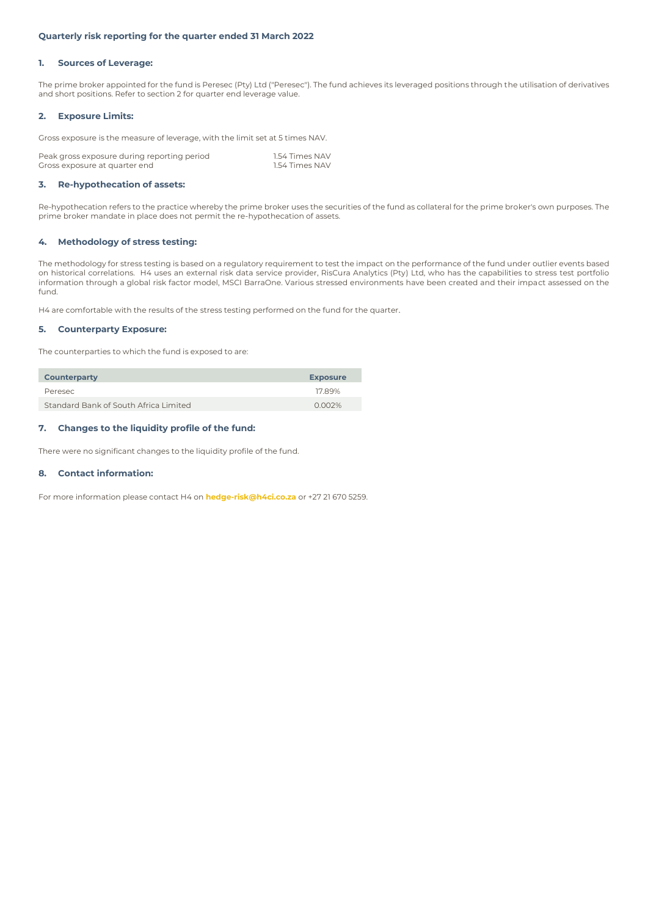## **Quarterly risk reporting for the quarter ended 31 March 2022**

## **1. Sources of Leverage:**

The prime broker appointed for the fund is Peresec (Pty) Ltd ("Peresec"). The fund achieves its leveraged positions through the utilisation of derivatives and short positions. Refer to section 2 for quarter end leverage value.

## **2. Exposure Limits:**

Gross exposure is the measure of leverage, with the limit set at 5 times NAV.

| Peak gross exposure during reporting period | 1.54 Times NAV |
|---------------------------------------------|----------------|
| Gross exposure at quarter end               | 1.54 Times NAV |

## **3. Re-hypothecation of assets:**

Re-hypothecation refers to the practice whereby the prime broker uses the securities of the fund as collateral for the prime broker's own purposes. The prime broker mandate in place does not permit the re-hypothecation of assets.

### **4. Methodology of stress testing:**

The methodology for stress testing is based on a regulatory requirement to test the impact on the performance of the fund under outlier events based on historical correlations. H4 uses an external risk data service provider, RisCura Analytics (Pty) Ltd, who has the capabilities to stress test portfolio information through a global risk factor model, MSCI BarraOne. Various stressed environments have been created and their impact assessed on the fund.

H4 are comfortable with the results of the stress testing performed on the fund for the quarter.

## **5. Counterparty Exposure:**

The counterparties to which the fund is exposed to are:

| <b>Counterparty</b>                   | <b>Exposure</b> |
|---------------------------------------|-----------------|
| Peresec                               | 1789%           |
| Standard Bank of South Africa Limited | 0.002%          |

## **7. Changes to the liquidity profile of the fund:**

There were no significant changes to the liquidity profile of the fund.

## **8. Contact information:**

For more information please contact H4 on **hedge-risk@h4ci.co.za** or +27 21 670 5259.